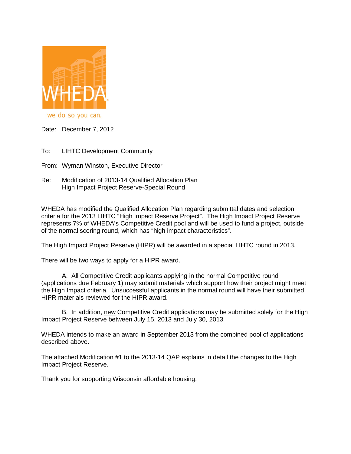

we do so you can.

Date: December 7, 2012

- To: LIHTC Development Community
- From: Wyman Winston, Executive Director
- Re: Modification of 2013-14 Qualified Allocation Plan High Impact Project Reserve-Special Round

WHEDA has modified the Qualified Allocation Plan regarding submittal dates and selection criteria for the 2013 LIHTC "High Impact Reserve Project". The High Impact Project Reserve represents 7% of WHEDA's Competitive Credit pool and will be used to fund a project, outside of the normal scoring round, which has "high impact characteristics".

The High Impact Project Reserve (HIPR) will be awarded in a special LIHTC round in 2013.

There will be two ways to apply for a HIPR award.

A. All Competitive Credit applicants applying in the normal Competitive round (applications due February 1) may submit materials which support how their project might meet the High Impact criteria. Unsuccessful applicants in the normal round will have their submitted HIPR materials reviewed for the HIPR award.

B. In addition, new Competitive Credit applications may be submitted solely for the High Impact Project Reserve between July 15, 2013 and July 30, 2013.

WHEDA intends to make an award in September 2013 from the combined pool of applications described above.

The attached Modification #1 to the 2013-14 QAP explains in detail the changes to the High Impact Project Reserve.

Thank you for supporting Wisconsin affordable housing.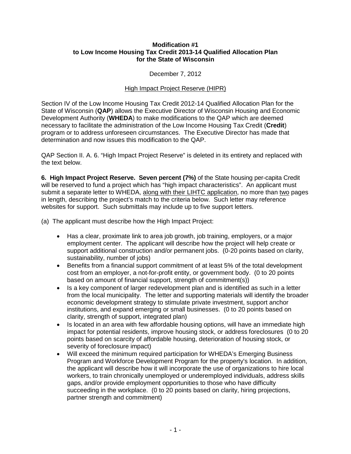## **Modification #1 to Low Income Housing Tax Credit 2013-14 Qualified Allocation Plan for the State of Wisconsin**

December 7, 2012

## High Impact Project Reserve (HIPR)

Section IV of the Low Income Housing Tax Credit 2012-14 Qualified Allocation Plan for the State of Wisconsin (**QAP**) allows the Executive Director of Wisconsin Housing and Economic Development Authority (**WHEDA**) to make modifications to the QAP which are deemed necessary to facilitate the administration of the Low Income Housing Tax Credit (**Credit**) program or to address unforeseen circumstances. The Executive Director has made that determination and now issues this modification to the QAP.

QAP Section II. A. 6. "High Impact Project Reserve" is deleted in its entirety and replaced with the text below.

**6. High Impact Project Reserve. Seven percent (7%)** of the State housing per-capita Credit will be reserved to fund a project which has "high impact characteristics". An applicant must submit a separate letter to WHEDA, along with their LIHTC application, no more than two pages in length, describing the project's match to the criteria below. Such letter may reference websites for support. Such submittals may include up to five support letters.

(a) The applicant must describe how the High Impact Project:

- Has a clear, proximate link to area job growth, job training, employers, or a major employment center. The applicant will describe how the project will help create or support additional construction and/or permanent jobs. (0-20 points based on clarity, sustainability, number of jobs)
- Benefits from a financial support commitment of at least 5% of the total development cost from an employer, a not-for-profit entity, or government body. (0 to 20 points based on amount of financial support, strength of commitment(s))
- Is a key component of larger redevelopment plan and is identified as such in a letter from the local municipality. The letter and supporting materials will identify the broader economic development strategy to stimulate private investment, support anchor institutions, and expand emerging or small businesses. (0 to 20 points based on clarity, strength of support, integrated plan)
- Is located in an area with few affordable housing options, will have an immediate high impact for potential residents, improve housing stock, or address foreclosures (0 to 20 points based on scarcity of affordable housing, deterioration of housing stock, or severity of foreclosure impact)
- Will exceed the minimum required participation for WHEDA's Emerging Business Program and Workforce Development Program for the property's location. In addition, the applicant will describe how it will incorporate the use of organizations to hire local workers, to train chronically unemployed or underemployed individuals, address skills gaps, and/or provide employment opportunities to those who have difficulty succeeding in the workplace. (0 to 20 points based on clarity, hiring projections, partner strength and commitment)